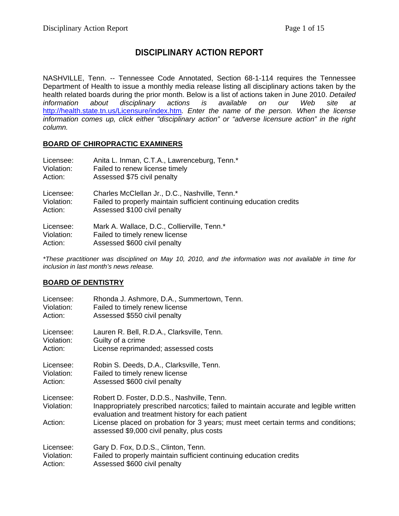# **DISCIPLINARY ACTION REPORT**

NASHVILLE, Tenn. -- Tennessee Code Annotated, Section 68-1-114 requires the Tennessee Department of Health to issue a monthly media release listing all disciplinary actions taken by the health related boards during the prior month. Below is a list of actions taken in June 2010. *Detailed information about disciplinary actions is available on our Web site at*  <http://health.state.tn.us/Licensure/index.htm>*. Enter the name of the person. When the license information comes up, click either "disciplinary action" or "adverse licensure action" in the right column.* 

### **BOARD OF CHIROPRACTIC EXAMINERS**

| Licensee:  | Anita L. Inman, C.T.A., Lawrenceburg, Tenn.*                        |
|------------|---------------------------------------------------------------------|
| Violation: | Failed to renew license timely                                      |
| Action:    | Assessed \$75 civil penalty                                         |
| Licensee:  | Charles McClellan Jr., D.C., Nashville, Tenn.*                      |
| Violation: | Failed to properly maintain sufficient continuing education credits |
| Action:    | Assessed \$100 civil penalty                                        |
| Licensee:  | Mark A. Wallace, D.C., Collierville, Tenn.*                         |
| Violation: | Failed to timely renew license                                      |
| Action:    | Assessed \$600 civil penalty                                        |

*\*These practitioner was disciplined on May 10, 2010, and the information was not available in time for inclusion in last month's news release.* 

### **BOARD OF DENTISTRY**

| Licensee:                          | Rhonda J. Ashmore, D.A., Summertown, Tenn.                                                                                                                                                                                                                                                                                 |
|------------------------------------|----------------------------------------------------------------------------------------------------------------------------------------------------------------------------------------------------------------------------------------------------------------------------------------------------------------------------|
| Violation:                         | Failed to timely renew license                                                                                                                                                                                                                                                                                             |
| Action:                            | Assessed \$550 civil penalty                                                                                                                                                                                                                                                                                               |
| Licensee:                          | Lauren R. Bell, R.D.A., Clarksville, Tenn.                                                                                                                                                                                                                                                                                 |
| Violation:                         | Guilty of a crime                                                                                                                                                                                                                                                                                                          |
| Action:                            | License reprimanded; assessed costs                                                                                                                                                                                                                                                                                        |
| Licensee:                          | Robin S. Deeds, D.A., Clarksville, Tenn.                                                                                                                                                                                                                                                                                   |
| Violation:                         | Failed to timely renew license                                                                                                                                                                                                                                                                                             |
| Action:                            | Assessed \$600 civil penalty                                                                                                                                                                                                                                                                                               |
| Licensee:<br>Violation:<br>Action: | Robert D. Foster, D.D.S., Nashville, Tenn.<br>Inappropriately prescribed narcotics; failed to maintain accurate and legible written<br>evaluation and treatment history for each patient<br>License placed on probation for 3 years; must meet certain terms and conditions;<br>assessed \$9,000 civil penalty, plus costs |
| Licensee:                          | Gary D. Fox, D.D.S., Clinton, Tenn.                                                                                                                                                                                                                                                                                        |
| Violation:                         | Failed to properly maintain sufficient continuing education credits                                                                                                                                                                                                                                                        |
| Action:                            | Assessed \$600 civil penalty                                                                                                                                                                                                                                                                                               |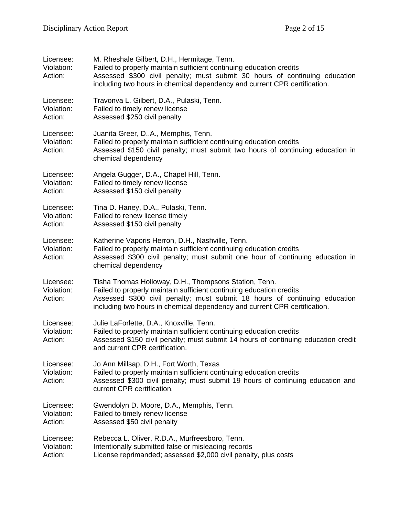| Licensee:<br>Violation:<br>Action: | M. Rheshale Gilbert, D.H., Hermitage, Tenn.<br>Failed to properly maintain sufficient continuing education credits<br>Assessed \$300 civil penalty; must submit 30 hours of continuing education<br>including two hours in chemical dependency and current CPR certification.           |
|------------------------------------|-----------------------------------------------------------------------------------------------------------------------------------------------------------------------------------------------------------------------------------------------------------------------------------------|
| Licensee:<br>Violation:<br>Action: | Travonva L. Gilbert, D.A., Pulaski, Tenn.<br>Failed to timely renew license<br>Assessed \$250 civil penalty                                                                                                                                                                             |
| Licensee:<br>Violation:<br>Action: | Juanita Greer, DA., Memphis, Tenn.<br>Failed to properly maintain sufficient continuing education credits<br>Assessed \$150 civil penalty; must submit two hours of continuing education in<br>chemical dependency                                                                      |
| Licensee:<br>Violation:<br>Action: | Angela Gugger, D.A., Chapel Hill, Tenn.<br>Failed to timely renew license<br>Assessed \$150 civil penalty                                                                                                                                                                               |
| Licensee:<br>Violation:<br>Action: | Tina D. Haney, D.A., Pulaski, Tenn.<br>Failed to renew license timely<br>Assessed \$150 civil penalty                                                                                                                                                                                   |
| Licensee:<br>Violation:<br>Action: | Katherine Vaporis Herron, D.H., Nashville, Tenn.<br>Failed to properly maintain sufficient continuing education credits<br>Assessed \$300 civil penalty; must submit one hour of continuing education in<br>chemical dependency                                                         |
| Licensee:<br>Violation:<br>Action: | Tisha Thomas Holloway, D.H., Thompsons Station, Tenn.<br>Failed to properly maintain sufficient continuing education credits<br>Assessed \$300 civil penalty; must submit 18 hours of continuing education<br>including two hours in chemical dependency and current CPR certification. |
| Licensee:<br>Violation:<br>Action: | Julie LaForlette, D.A., Knoxville, Tenn.<br>Failed to properly maintain sufficient continuing education credits<br>Assessed \$150 civil penalty; must submit 14 hours of continuing education credit<br>and current CPR certification.                                                  |
| Licensee:<br>Violation:<br>Action: | Jo Ann Millsap, D.H., Fort Worth, Texas<br>Failed to properly maintain sufficient continuing education credits<br>Assessed \$300 civil penalty; must submit 19 hours of continuing education and<br>current CPR certification.                                                          |
| Licensee:<br>Violation:<br>Action: | Gwendolyn D. Moore, D.A., Memphis, Tenn.<br>Failed to timely renew license<br>Assessed \$50 civil penalty                                                                                                                                                                               |
| Licensee:<br>Violation:<br>Action: | Rebecca L. Oliver, R.D.A., Murfreesboro, Tenn.<br>Intentionally submitted false or misleading records<br>License reprimanded; assessed \$2,000 civil penalty, plus costs                                                                                                                |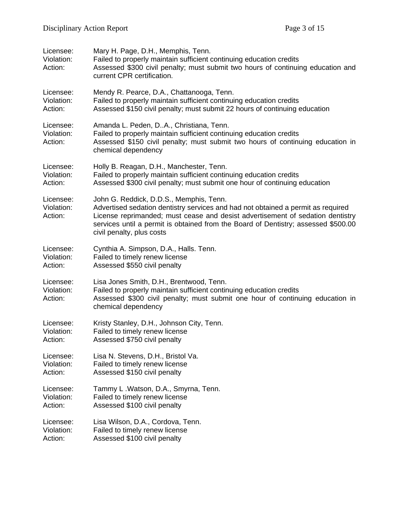| Licensee:<br>Violation:<br>Action: | Mary H. Page, D.H., Memphis, Tenn.<br>Failed to properly maintain sufficient continuing education credits<br>Assessed \$300 civil penalty; must submit two hours of continuing education and<br>current CPR certification.                                                                                                       |
|------------------------------------|----------------------------------------------------------------------------------------------------------------------------------------------------------------------------------------------------------------------------------------------------------------------------------------------------------------------------------|
| Licensee:                          | Mendy R. Pearce, D.A., Chattanooga, Tenn.                                                                                                                                                                                                                                                                                        |
| Violation:                         | Failed to properly maintain sufficient continuing education credits                                                                                                                                                                                                                                                              |
| Action:                            | Assessed \$150 civil penalty; must submit 22 hours of continuing education                                                                                                                                                                                                                                                       |
| Licensee:<br>Violation:<br>Action: | Amanda L. Peden, D.A., Christiana, Tenn.<br>Failed to properly maintain sufficient continuing education credits<br>Assessed \$150 civil penalty; must submit two hours of continuing education in<br>chemical dependency                                                                                                         |
| Licensee:                          | Holly B. Reagan, D.H., Manchester, Tenn.                                                                                                                                                                                                                                                                                         |
| Violation:                         | Failed to properly maintain sufficient continuing education credits                                                                                                                                                                                                                                                              |
| Action:                            | Assessed \$300 civil penalty; must submit one hour of continuing education                                                                                                                                                                                                                                                       |
| Licensee:<br>Violation:<br>Action: | John G. Reddick, D.D.S., Memphis, Tenn.<br>Advertised sedation dentistry services and had not obtained a permit as required<br>License reprimanded; must cease and desist advertisement of sedation dentistry<br>services until a permit is obtained from the Board of Dentistry; assessed \$500.00<br>civil penalty, plus costs |
| Licensee:                          | Cynthia A. Simpson, D.A., Halls. Tenn.                                                                                                                                                                                                                                                                                           |
| Violation:                         | Failed to timely renew license                                                                                                                                                                                                                                                                                                   |
| Action:                            | Assessed \$550 civil penalty                                                                                                                                                                                                                                                                                                     |
| Licensee:<br>Violation:<br>Action: | Lisa Jones Smith, D.H., Brentwood, Tenn.<br>Failed to properly maintain sufficient continuing education credits<br>Assessed \$300 civil penalty; must submit one hour of continuing education in<br>chemical dependency                                                                                                          |
| Licensee:                          | Kristy Stanley, D.H., Johnson City, Tenn.                                                                                                                                                                                                                                                                                        |
| Violation:                         | Failed to timely renew license                                                                                                                                                                                                                                                                                                   |
| Action:                            | Assessed \$750 civil penalty                                                                                                                                                                                                                                                                                                     |
| Licensee:                          | Lisa N. Stevens, D.H., Bristol Va.                                                                                                                                                                                                                                                                                               |
| Violation:                         | Failed to timely renew license                                                                                                                                                                                                                                                                                                   |
| Action:                            | Assessed \$150 civil penalty                                                                                                                                                                                                                                                                                                     |
| Licensee:                          | Tammy L. Watson, D.A., Smyrna, Tenn.                                                                                                                                                                                                                                                                                             |
| Violation:                         | Failed to timely renew license                                                                                                                                                                                                                                                                                                   |
| Action:                            | Assessed \$100 civil penalty                                                                                                                                                                                                                                                                                                     |
| Licensee:                          | Lisa Wilson, D.A., Cordova, Tenn.                                                                                                                                                                                                                                                                                                |
| Violation:                         | Failed to timely renew license                                                                                                                                                                                                                                                                                                   |
| Action:                            | Assessed \$100 civil penalty                                                                                                                                                                                                                                                                                                     |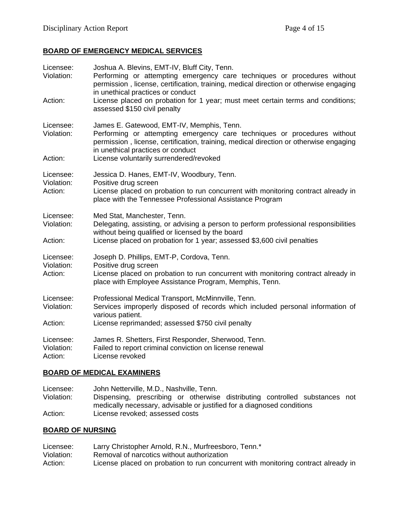## **BOARD OF EMERGENCY MEDICAL SERVICES**

| Licensee:<br>Violation:<br>Action: | Joshua A. Blevins, EMT-IV, Bluff City, Tenn.<br>Performing or attempting emergency care techniques or procedures without<br>permission, license, certification, training, medical direction or otherwise engaging<br>in unethical practices or conduct<br>License placed on probation for 1 year; must meet certain terms and conditions;<br>assessed \$150 civil penalty |
|------------------------------------|---------------------------------------------------------------------------------------------------------------------------------------------------------------------------------------------------------------------------------------------------------------------------------------------------------------------------------------------------------------------------|
| Licensee:<br>Violation:<br>Action: | James E. Gatewood, EMT-IV, Memphis, Tenn.<br>Performing or attempting emergency care techniques or procedures without<br>permission, license, certification, training, medical direction or otherwise engaging<br>in unethical practices or conduct<br>License voluntarily surrendered/revoked                                                                            |
| Licensee:<br>Violation:<br>Action: | Jessica D. Hanes, EMT-IV, Woodbury, Tenn.<br>Positive drug screen<br>License placed on probation to run concurrent with monitoring contract already in<br>place with the Tennessee Professional Assistance Program                                                                                                                                                        |
| Licensee:<br>Violation:<br>Action: | Med Stat, Manchester, Tenn.<br>Delegating, assisting, or advising a person to perform professional responsibilities<br>without being qualified or licensed by the board<br>License placed on probation for 1 year; assessed \$3,600 civil penalties                                                                                                                       |
| Licensee:<br>Violation:<br>Action: | Joseph D. Phillips, EMT-P, Cordova, Tenn.<br>Positive drug screen<br>License placed on probation to run concurrent with monitoring contract already in<br>place with Employee Assistance Program, Memphis, Tenn.                                                                                                                                                          |
| Licensee:<br>Violation:            | Professional Medical Transport, McMinnville, Tenn.<br>Services improperly disposed of records which included personal information of<br>various patient.                                                                                                                                                                                                                  |
| Action:                            | License reprimanded; assessed \$750 civil penalty                                                                                                                                                                                                                                                                                                                         |
| Licensee:<br>Violation:<br>Action: | James R. Shetters, First Responder, Sherwood, Tenn.<br>Failed to report criminal conviction on license renewal<br>License revoked                                                                                                                                                                                                                                         |

#### **BOARD OF MEDICAL EXAMINERS**

Licensee: John Netterville, M.D., Nashville, Tenn. Violation: Dispensing, prescribing or otherwise distributing controlled substances not medically necessary, advisable or justified for a diagnosed conditions Action: License revoked; assessed costs

#### **BOARD OF NURSING**

| Licensee:  | Larry Christopher Arnold, R.N., Murfreesboro, Tenn.*                              |
|------------|-----------------------------------------------------------------------------------|
| Violation: | Removal of narcotics without authorization                                        |
| Action:    | License placed on probation to run concurrent with monitoring contract already in |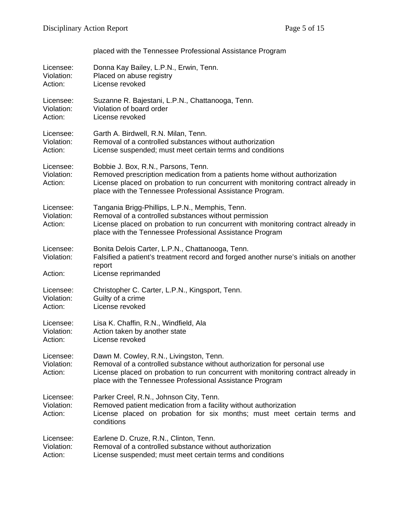|                                    | placed with the Tennessee Professional Assistance Program                                                                                                                                                                                                            |
|------------------------------------|----------------------------------------------------------------------------------------------------------------------------------------------------------------------------------------------------------------------------------------------------------------------|
| Licensee:<br>Violation:<br>Action: | Donna Kay Bailey, L.P.N., Erwin, Tenn.<br>Placed on abuse registry<br>License revoked                                                                                                                                                                                |
| Licensee:<br>Violation:<br>Action: | Suzanne R. Bajestani, L.P.N., Chattanooga, Tenn.<br>Violation of board order<br>License revoked                                                                                                                                                                      |
| Licensee:<br>Violation:<br>Action: | Garth A. Birdwell, R.N. Milan, Tenn.<br>Removal of a controlled substances without authorization<br>License suspended; must meet certain terms and conditions                                                                                                        |
| Licensee:<br>Violation:<br>Action: | Bobbie J. Box, R.N., Parsons, Tenn.<br>Removed prescription medication from a patients home without authorization<br>License placed on probation to run concurrent with monitoring contract already in<br>place with the Tennessee Professional Assistance Program.  |
| Licensee:<br>Violation:<br>Action: | Tangania Brigg-Phillips, L.P.N., Memphis, Tenn.<br>Removal of a controlled substances without permission<br>License placed on probation to run concurrent with monitoring contract already in<br>place with the Tennessee Professional Assistance Program            |
| Licensee:<br>Violation:            | Bonita Delois Carter, L.P.N., Chattanooga, Tenn.<br>Falsified a patient's treatment record and forged another nurse's initials on another<br>report                                                                                                                  |
| Action:                            | License reprimanded                                                                                                                                                                                                                                                  |
| Licensee:<br>Violation:<br>Action: | Christopher C. Carter, L.P.N., Kingsport, Tenn.<br>Guilty of a crime<br>License revoked                                                                                                                                                                              |
| Licensee:<br>Violation:<br>Action: | Lisa K. Chaffin, R.N., Windfield, Ala<br>Action taken by another state<br>License revoked                                                                                                                                                                            |
| Licensee:<br>Violation:<br>Action: | Dawn M. Cowley, R.N., Livingston, Tenn.<br>Removal of a controlled substance without authorization for personal use<br>License placed on probation to run concurrent with monitoring contract already in<br>place with the Tennessee Professional Assistance Program |
| Licensee:<br>Violation:<br>Action: | Parker Creel, R.N., Johnson City, Tenn.<br>Removed patient medication from a facility without authorization<br>License placed on probation for six months; must meet certain terms and<br>conditions                                                                 |
| Licensee:<br>Violation:<br>Action: | Earlene D. Cruze, R.N., Clinton, Tenn.<br>Removal of a controlled substance without authorization<br>License suspended; must meet certain terms and conditions                                                                                                       |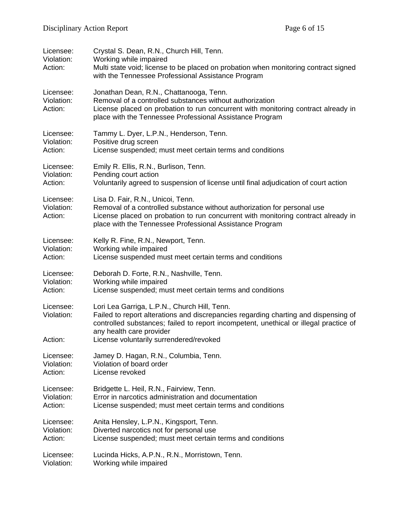| Licensee:<br>Violation:<br>Action: | Crystal S. Dean, R.N., Church Hill, Tenn.<br>Working while impaired<br>Multi state void; license to be placed on probation when monitoring contract signed<br>with the Tennessee Professional Assistance Program                                                                                    |
|------------------------------------|-----------------------------------------------------------------------------------------------------------------------------------------------------------------------------------------------------------------------------------------------------------------------------------------------------|
| Licensee:<br>Violation:<br>Action: | Jonathan Dean, R.N., Chattanooga, Tenn.<br>Removal of a controlled substances without authorization<br>License placed on probation to run concurrent with monitoring contract already in<br>place with the Tennessee Professional Assistance Program                                                |
| Licensee:                          | Tammy L. Dyer, L.P.N., Henderson, Tenn.                                                                                                                                                                                                                                                             |
| Violation:                         | Positive drug screen                                                                                                                                                                                                                                                                                |
| Action:                            | License suspended; must meet certain terms and conditions                                                                                                                                                                                                                                           |
| Licensee:                          | Emily R. Ellis, R.N., Burlison, Tenn.                                                                                                                                                                                                                                                               |
| Violation:                         | Pending court action                                                                                                                                                                                                                                                                                |
| Action:                            | Voluntarily agreed to suspension of license until final adjudication of court action                                                                                                                                                                                                                |
| Licensee:<br>Violation:<br>Action: | Lisa D. Fair, R.N., Unicoi, Tenn.<br>Removal of a controlled substance without authorization for personal use<br>License placed on probation to run concurrent with monitoring contract already in<br>place with the Tennessee Professional Assistance Program                                      |
| Licensee:                          | Kelly R. Fine, R.N., Newport, Tenn.                                                                                                                                                                                                                                                                 |
| Violation:                         | Working while impaired                                                                                                                                                                                                                                                                              |
| Action:                            | License suspended must meet certain terms and conditions                                                                                                                                                                                                                                            |
| Licensee:                          | Deborah D. Forte, R.N., Nashville, Tenn.                                                                                                                                                                                                                                                            |
| Violation:                         | Working while impaired                                                                                                                                                                                                                                                                              |
| Action:                            | License suspended; must meet certain terms and conditions                                                                                                                                                                                                                                           |
| Licensee:<br>Violation:<br>Action: | Lori Lea Garriga, L.P.N., Church Hill, Tenn.<br>Failed to report alterations and discrepancies regarding charting and dispensing of<br>controlled substances; failed to report incompetent, unethical or illegal practice of<br>any health care provider<br>License voluntarily surrendered/revoked |
| Licensee:                          | Jamey D. Hagan, R.N., Columbia, Tenn.                                                                                                                                                                                                                                                               |
| Violation:                         | Violation of board order                                                                                                                                                                                                                                                                            |
| Action:                            | License revoked                                                                                                                                                                                                                                                                                     |
| Licensee:                          | Bridgette L. Heil, R.N., Fairview, Tenn.                                                                                                                                                                                                                                                            |
| Violation:                         | Error in narcotics administration and documentation                                                                                                                                                                                                                                                 |
| Action:                            | License suspended; must meet certain terms and conditions                                                                                                                                                                                                                                           |
| Licensee:                          | Anita Hensley, L.P.N., Kingsport, Tenn.                                                                                                                                                                                                                                                             |
| Violation:                         | Diverted narcotics not for personal use                                                                                                                                                                                                                                                             |
| Action:                            | License suspended; must meet certain terms and conditions                                                                                                                                                                                                                                           |
| Licensee:                          | Lucinda Hicks, A.P.N., R.N., Morristown, Tenn.                                                                                                                                                                                                                                                      |
| Violation:                         | Working while impaired                                                                                                                                                                                                                                                                              |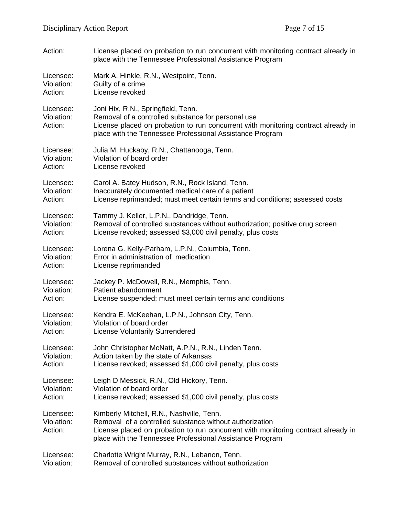| Action:                            | License placed on probation to run concurrent with monitoring contract already in<br>place with the Tennessee Professional Assistance Program                                                                                                         |
|------------------------------------|-------------------------------------------------------------------------------------------------------------------------------------------------------------------------------------------------------------------------------------------------------|
| Licensee:                          | Mark A. Hinkle, R.N., Westpoint, Tenn.                                                                                                                                                                                                                |
| Violation:                         | Guilty of a crime                                                                                                                                                                                                                                     |
| Action:                            | License revoked                                                                                                                                                                                                                                       |
| Licensee:<br>Violation:<br>Action: | Joni Hix, R.N., Springfield, Tenn.<br>Removal of a controlled substance for personal use<br>License placed on probation to run concurrent with monitoring contract already in<br>place with the Tennessee Professional Assistance Program             |
| Licensee:                          | Julia M. Huckaby, R.N., Chattanooga, Tenn.                                                                                                                                                                                                            |
| Violation:                         | Violation of board order                                                                                                                                                                                                                              |
| Action:                            | License revoked                                                                                                                                                                                                                                       |
| Licensee:                          | Carol A. Batey Hudson, R.N., Rock Island, Tenn.                                                                                                                                                                                                       |
| Violation:                         | Inaccurately documented medical care of a patient                                                                                                                                                                                                     |
| Action:                            | License reprimanded; must meet certain terms and conditions; assessed costs                                                                                                                                                                           |
| Licensee:                          | Tammy J. Keller, L.P.N., Dandridge, Tenn.                                                                                                                                                                                                             |
| Violation:                         | Removal of controlled substances without authorization; positive drug screen                                                                                                                                                                          |
| Action:                            | License revoked; assessed \$3,000 civil penalty, plus costs                                                                                                                                                                                           |
| Licensee:                          | Lorena G. Kelly-Parham, L.P.N., Columbia, Tenn.                                                                                                                                                                                                       |
| Violation:                         | Error in administration of medication                                                                                                                                                                                                                 |
| Action:                            | License reprimanded                                                                                                                                                                                                                                   |
| Licensee:                          | Jackey P. McDowell, R.N., Memphis, Tenn.                                                                                                                                                                                                              |
| Violation:                         | Patient abandonment                                                                                                                                                                                                                                   |
| Action:                            | License suspended; must meet certain terms and conditions                                                                                                                                                                                             |
| Licensee:                          | Kendra E. McKeehan, L.P.N., Johnson City, Tenn.                                                                                                                                                                                                       |
| Violation:                         | Violation of board order                                                                                                                                                                                                                              |
| Action:                            | <b>License Voluntarily Surrendered</b>                                                                                                                                                                                                                |
| Licensee:                          | John Christopher McNatt, A.P.N., R.N., Linden Tenn.                                                                                                                                                                                                   |
| Violation:                         | Action taken by the state of Arkansas                                                                                                                                                                                                                 |
| Action:                            | License revoked; assessed \$1,000 civil penalty, plus costs                                                                                                                                                                                           |
| Licensee:                          | Leigh D Messick, R.N., Old Hickory, Tenn.                                                                                                                                                                                                             |
| Violation:                         | Violation of board order                                                                                                                                                                                                                              |
| Action:                            | License revoked; assessed \$1,000 civil penalty, plus costs                                                                                                                                                                                           |
| Licensee:<br>Violation:<br>Action: | Kimberly Mitchell, R.N., Nashville, Tenn.<br>Removal of a controlled substance without authorization<br>License placed on probation to run concurrent with monitoring contract already in<br>place with the Tennessee Professional Assistance Program |
| Licensee:                          | Charlotte Wright Murray, R.N., Lebanon, Tenn.                                                                                                                                                                                                         |
| Violation:                         | Removal of controlled substances without authorization                                                                                                                                                                                                |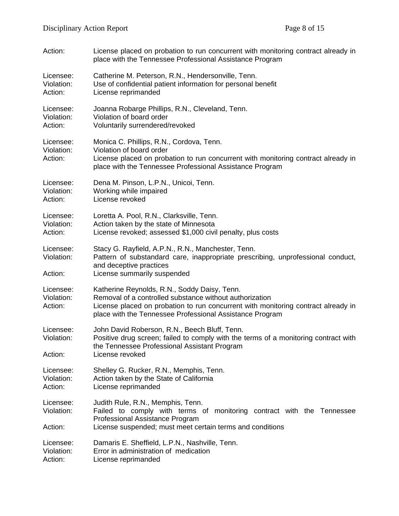| Action:                            | License placed on probation to run concurrent with monitoring contract already in<br>place with the Tennessee Professional Assistance Program                                                                                                            |
|------------------------------------|----------------------------------------------------------------------------------------------------------------------------------------------------------------------------------------------------------------------------------------------------------|
| Licensee:                          | Catherine M. Peterson, R.N., Hendersonville, Tenn.                                                                                                                                                                                                       |
| Violation:                         | Use of confidential patient information for personal benefit                                                                                                                                                                                             |
| Action:                            | License reprimanded                                                                                                                                                                                                                                      |
| Licensee:                          | Joanna Robarge Phillips, R.N., Cleveland, Tenn.                                                                                                                                                                                                          |
| Violation:                         | Violation of board order                                                                                                                                                                                                                                 |
| Action:                            | Voluntarily surrendered/revoked                                                                                                                                                                                                                          |
| Licensee:<br>Violation:<br>Action: | Monica C. Phillips, R.N., Cordova, Tenn.<br>Violation of board order<br>License placed on probation to run concurrent with monitoring contract already in<br>place with the Tennessee Professional Assistance Program                                    |
| Licensee:                          | Dena M. Pinson, L.P.N., Unicoi, Tenn.                                                                                                                                                                                                                    |
| Violation:                         | Working while impaired                                                                                                                                                                                                                                   |
| Action:                            | License revoked                                                                                                                                                                                                                                          |
| Licensee:                          | Loretta A. Pool, R.N., Clarksville, Tenn.                                                                                                                                                                                                                |
| Violation:                         | Action taken by the state of Minnesota                                                                                                                                                                                                                   |
| Action:                            | License revoked; assessed \$1,000 civil penalty, plus costs                                                                                                                                                                                              |
| Licensee:<br>Violation:<br>Action: | Stacy G. Rayfield, A.P.N., R.N., Manchester, Tenn.<br>Pattern of substandard care, inappropriate prescribing, unprofessional conduct,<br>and deceptive practices<br>License summarily suspended                                                          |
| Licensee:<br>Violation:<br>Action: | Katherine Reynolds, R.N., Soddy Daisy, Tenn.<br>Removal of a controlled substance without authorization<br>License placed on probation to run concurrent with monitoring contract already in<br>place with the Tennessee Professional Assistance Program |
| Licensee:<br>Violation:<br>Action: | John David Roberson, R.N., Beech Bluff, Tenn.<br>Positive drug screen; failed to comply with the terms of a monitoring contract with<br>the Tennessee Professional Assistant Program<br>License revoked                                                  |
| Licensee:                          | Shelley G. Rucker, R.N., Memphis, Tenn.                                                                                                                                                                                                                  |
| Violation:                         | Action taken by the State of California                                                                                                                                                                                                                  |
| Action:                            | License reprimanded                                                                                                                                                                                                                                      |
| Licensee:<br>Violation:<br>Action: | Judith Rule, R.N., Memphis, Tenn.<br>Failed to comply with terms of monitoring contract with the Tennessee<br>Professional Assistance Program<br>License suspended; must meet certain terms and conditions                                               |
| Licensee:                          | Damaris E. Sheffield, L.P.N., Nashville, Tenn.                                                                                                                                                                                                           |
| Violation:                         | Error in administration of medication                                                                                                                                                                                                                    |
| Action:                            | License reprimanded                                                                                                                                                                                                                                      |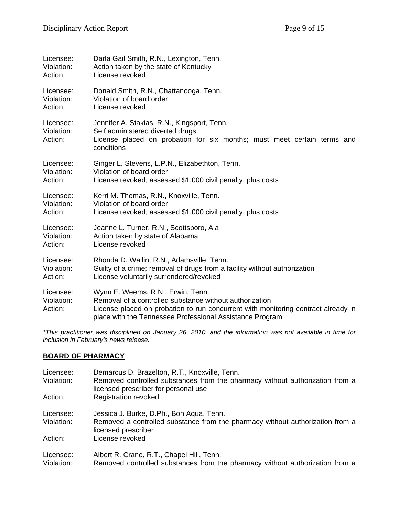| Licensee:                          | Darla Gail Smith, R.N., Lexington, Tenn.                                                                                                                                                                                                      |
|------------------------------------|-----------------------------------------------------------------------------------------------------------------------------------------------------------------------------------------------------------------------------------------------|
| Violation:                         | Action taken by the state of Kentucky                                                                                                                                                                                                         |
| Action:                            | License revoked                                                                                                                                                                                                                               |
| Licensee:                          | Donald Smith, R.N., Chattanooga, Tenn.                                                                                                                                                                                                        |
| Violation:                         | Violation of board order                                                                                                                                                                                                                      |
| Action:                            | License revoked                                                                                                                                                                                                                               |
| Licensee:<br>Violation:<br>Action: | Jennifer A. Stakias, R.N., Kingsport, Tenn.<br>Self administered diverted drugs<br>License placed on probation for six months; must meet certain terms and<br>conditions                                                                      |
| Licensee:                          | Ginger L. Stevens, L.P.N., Elizabethton, Tenn.                                                                                                                                                                                                |
| Violation:                         | Violation of board order                                                                                                                                                                                                                      |
| Action:                            | License revoked; assessed \$1,000 civil penalty, plus costs                                                                                                                                                                                   |
| Licensee:                          | Kerri M. Thomas, R.N., Knoxville, Tenn.                                                                                                                                                                                                       |
| Violation:                         | Violation of board order                                                                                                                                                                                                                      |
| Action:                            | License revoked; assessed \$1,000 civil penalty, plus costs                                                                                                                                                                                   |
| Licensee:                          | Jeanne L. Turner, R.N., Scottsboro, Ala                                                                                                                                                                                                       |
| Violation:                         | Action taken by state of Alabama                                                                                                                                                                                                              |
| Action:                            | License revoked                                                                                                                                                                                                                               |
| Licensee:                          | Rhonda D. Wallin, R.N., Adamsville, Tenn.                                                                                                                                                                                                     |
| Violation:                         | Guilty of a crime; removal of drugs from a facility without authorization                                                                                                                                                                     |
| Action:                            | License voluntarily surrendered/revoked                                                                                                                                                                                                       |
| Licensee:<br>Violation:<br>Action: | Wynn E. Weems, R.N., Erwin, Tenn.<br>Removal of a controlled substance without authorization<br>License placed on probation to run concurrent with monitoring contract already in<br>place with the Tennessee Professional Assistance Program |

*\*This practitioner was disciplined on January 26, 2010, and the information was not available in time for inclusion in February's news release.* 

### **BOARD OF PHARMACY**

| Licensee:<br>Violation: | Demarcus D. Brazelton, R.T., Knoxville, Tenn.<br>Removed controlled substances from the pharmacy without authorization from a<br>licensed prescriber for personal use |
|-------------------------|-----------------------------------------------------------------------------------------------------------------------------------------------------------------------|
| Action:                 | <b>Registration revoked</b>                                                                                                                                           |
| Licensee:               | Jessica J. Burke, D.Ph., Bon Aqua, Tenn.                                                                                                                              |
| Violation:              | Removed a controlled substance from the pharmacy without authorization from a<br>licensed prescriber                                                                  |
| Action:                 | License revoked                                                                                                                                                       |
| Licensee:<br>Violation: | Albert R. Crane, R.T., Chapel Hill, Tenn.<br>Removed controlled substances from the pharmacy without authorization from a                                             |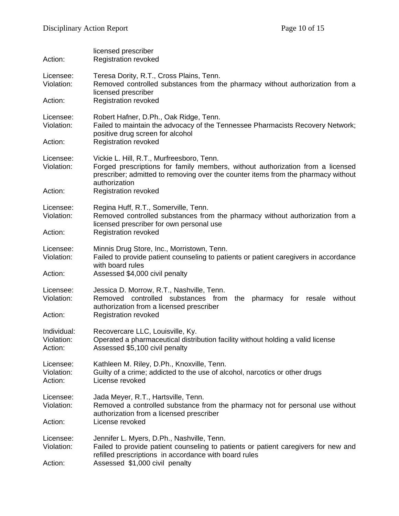| Action:                              | licensed prescriber<br><b>Registration revoked</b>                                                                                                                                                                                |
|--------------------------------------|-----------------------------------------------------------------------------------------------------------------------------------------------------------------------------------------------------------------------------------|
| Licensee:<br>Violation:              | Teresa Dority, R.T., Cross Plains, Tenn.<br>Removed controlled substances from the pharmacy without authorization from a<br>licensed prescriber                                                                                   |
| Action:                              | <b>Registration revoked</b>                                                                                                                                                                                                       |
| Licensee:<br>Violation:              | Robert Hafner, D.Ph., Oak Ridge, Tenn.<br>Failed to maintain the advocacy of the Tennessee Pharmacists Recovery Network;<br>positive drug screen for alcohol                                                                      |
| Action:                              | <b>Registration revoked</b>                                                                                                                                                                                                       |
| Licensee:<br>Violation:              | Vickie L. Hill, R.T., Murfreesboro, Tenn.<br>Forged prescriptions for family members, without authorization from a licensed<br>prescriber; admitted to removing over the counter items from the pharmacy without<br>authorization |
| Action:                              | <b>Registration revoked</b>                                                                                                                                                                                                       |
| Licensee:<br>Violation:              | Regina Huff, R.T., Somerville, Tenn.<br>Removed controlled substances from the pharmacy without authorization from a<br>licensed prescriber for own personal use                                                                  |
| Action:                              | Registration revoked                                                                                                                                                                                                              |
| Licensee:<br>Violation:              | Minnis Drug Store, Inc., Morristown, Tenn.<br>Failed to provide patient counseling to patients or patient caregivers in accordance<br>with board rules                                                                            |
| Action:                              | Assessed \$4,000 civil penalty                                                                                                                                                                                                    |
| Licensee:<br>Violation:              | Jessica D. Morrow, R.T., Nashville, Tenn.<br>Removed controlled substances from the<br>pharmacy for resale<br>without<br>authorization from a licensed prescriber                                                                 |
| Action:                              | <b>Registration revoked</b>                                                                                                                                                                                                       |
| Individual:<br>Violation:<br>Action: | Recovercare LLC, Louisville, Ky.<br>Operated a pharmaceutical distribution facility without holding a valid license<br>Assessed \$5,100 civil penalty                                                                             |
| Licensee:<br>Violation:<br>Action:   | Kathleen M. Riley, D.Ph., Knoxville, Tenn.<br>Guilty of a crime; addicted to the use of alcohol, narcotics or other drugs<br>License revoked                                                                                      |
| Licensee:<br>Violation:              | Jada Meyer, R.T., Hartsville, Tenn.<br>Removed a controlled substance from the pharmacy not for personal use without<br>authorization from a licensed prescriber                                                                  |
| Action:                              | License revoked                                                                                                                                                                                                                   |
| Licensee:<br>Violation:              | Jennifer L. Myers, D.Ph., Nashville, Tenn.<br>Failed to provide patient counseling to patients or patient caregivers for new and<br>refilled prescriptions in accordance with board rules                                         |
| Action:                              | Assessed \$1,000 civil penalty                                                                                                                                                                                                    |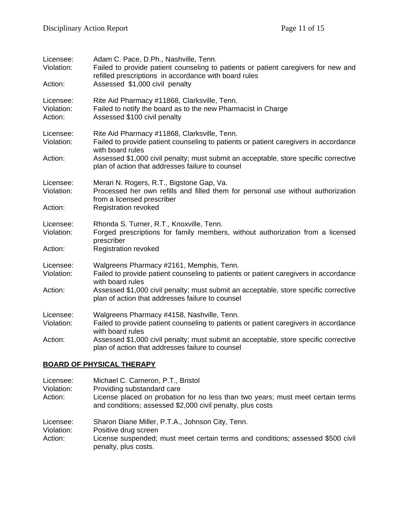| Licensee:<br>Violation:<br>Action: | Adam C. Pace, D.Ph., Nashville, Tenn.<br>Failed to provide patient counseling to patients or patient caregivers for new and<br>refilled prescriptions in accordance with board rules<br>Assessed \$1,000 civil penalty                                                                               |
|------------------------------------|------------------------------------------------------------------------------------------------------------------------------------------------------------------------------------------------------------------------------------------------------------------------------------------------------|
| Licensee:<br>Violation:<br>Action: | Rite Aid Pharmacy #11868, Clarksville, Tenn.<br>Failed to notify the board as to the new Pharmacist in Charge<br>Assessed \$100 civil penalty                                                                                                                                                        |
| Licensee:<br>Violation:<br>Action: | Rite Aid Pharmacy #11868, Clarksville, Tenn.<br>Failed to provide patient counseling to patients or patient caregivers in accordance<br>with board rules<br>Assessed \$1,000 civil penalty; must submit an acceptable, store specific corrective<br>plan of action that addresses failure to counsel |
| Licensee:<br>Violation:<br>Action: | Merari N. Rogers, R.T., Bigstone Gap, Va.<br>Processed her own refills and filled them for personal use without authorization<br>from a licensed prescriber<br><b>Registration revoked</b>                                                                                                           |
| Licensee:<br>Violation:<br>Action: | Rhonda S. Turner, R.T., Knoxville, Tenn.<br>Forged prescriptions for family members, without authorization from a licensed<br>prescriber<br><b>Registration revoked</b>                                                                                                                              |
| Licensee:<br>Violation:            | Walgreens Pharmacy #2161, Memphis, Tenn.<br>Failed to provide patient counseling to patients or patient caregivers in accordance<br>with board rules                                                                                                                                                 |
| Action:                            | Assessed \$1,000 civil penalty; must submit an acceptable, store specific corrective<br>plan of action that addresses failure to counsel                                                                                                                                                             |
| Licensee:<br>Violation:            | Walgreens Pharmacy #4158, Nashville, Tenn.<br>Failed to provide patient counseling to patients or patient caregivers in accordance<br>with board rules                                                                                                                                               |
| Action:                            | Assessed \$1,000 civil penalty; must submit an acceptable, store specific corrective<br>plan of action that addresses failure to counsel                                                                                                                                                             |

# **BOARD OF PHYSICAL THERAPY**

| Licensee:<br>Violation:<br>Action: | Michael C. Cameron, P.T., Bristol<br>Providing substandard care<br>License placed on probation for no less than two years; must meet certain terms<br>and conditions; assessed \$2,000 civil penalty, plus costs |
|------------------------------------|------------------------------------------------------------------------------------------------------------------------------------------------------------------------------------------------------------------|
| Licensee:<br>Violation:<br>Action: | Sharon Diane Miller, P.T.A., Johnson City, Tenn.<br>Positive drug screen<br>License suspended; must meet certain terms and conditions; assessed \$500 civil<br>penalty, plus costs.                              |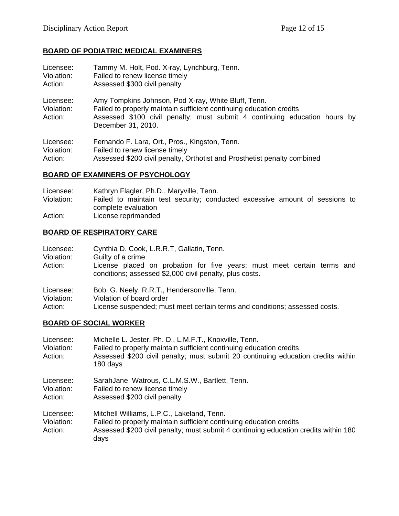## **BOARD OF PODIATRIC MEDICAL EXAMINERS**

| Licensee:                          | Tammy M. Holt, Pod. X-ray, Lynchburg, Tenn.                                                                                                                                                                                   |
|------------------------------------|-------------------------------------------------------------------------------------------------------------------------------------------------------------------------------------------------------------------------------|
| Violation:                         | Failed to renew license timely                                                                                                                                                                                                |
| Action:                            | Assessed \$300 civil penalty                                                                                                                                                                                                  |
| Licensee:<br>Violation:<br>Action: | Amy Tompkins Johnson, Pod X-ray, White Bluff, Tenn.<br>Failed to properly maintain sufficient continuing education credits<br>Assessed \$100 civil penalty; must submit 4 continuing education hours by<br>December 31, 2010. |
| Licensee:                          | Fernando F. Lara, Ort., Pros., Kingston, Tenn.                                                                                                                                                                                |
| Violation:                         | Failed to renew license timely                                                                                                                                                                                                |
| Action:                            | Assessed \$200 civil penalty, Orthotist and Prosthetist penalty combined                                                                                                                                                      |

### **BOARD OF EXAMINERS OF PSYCHOLOGY**

| Licensee:  | Kathryn Flagler, Ph.D., Maryville, Tenn.                                                           |  |  |
|------------|----------------------------------------------------------------------------------------------------|--|--|
| Violation: | Failed to maintain test security; conducted excessive amount of sessions to<br>complete evaluation |  |  |
| Action:    | License reprimanded                                                                                |  |  |
|            |                                                                                                    |  |  |

## **BOARD OF RESPIRATORY CARE**

| Licensee:<br>Violation:<br>Action: | Cynthia D. Cook, L.R.R.T, Gallatin, Tenn.<br>Guilty of a crime<br>License placed on probation for five years; must meet certain terms and<br>conditions; assessed \$2,000 civil penalty, plus costs. |
|------------------------------------|------------------------------------------------------------------------------------------------------------------------------------------------------------------------------------------------------|
| Licensee:                          | Bob. G. Neely, R.R.T., Hendersonville, Tenn.                                                                                                                                                         |
| Violation:                         | Violation of board order                                                                                                                                                                             |
| Action:                            | License suspended; must meet certain terms and conditions; assessed costs.                                                                                                                           |

## **BOARD OF SOCIAL WORKER**

| Licensee:<br>Violation:<br>Action: | Michelle L. Jester, Ph. D., L.M.F.T., Knoxville, Tenn.<br>Failed to properly maintain sufficient continuing education credits<br>Assessed \$200 civil penalty; must submit 20 continuing education credits within<br>180 days |
|------------------------------------|-------------------------------------------------------------------------------------------------------------------------------------------------------------------------------------------------------------------------------|
| Licensee:<br>Violation:<br>Action: | SarahJane Watrous, C.L.M.S.W., Bartlett, Tenn.<br>Failed to renew license timely<br>Assessed \$200 civil penalty                                                                                                              |
| Licensee:<br>Violation:<br>Action: | Mitchell Williams, L.P.C., Lakeland, Tenn.<br>Failed to properly maintain sufficient continuing education credits<br>Assessed \$200 civil penalty; must submit 4 continuing education credits within 180<br>days              |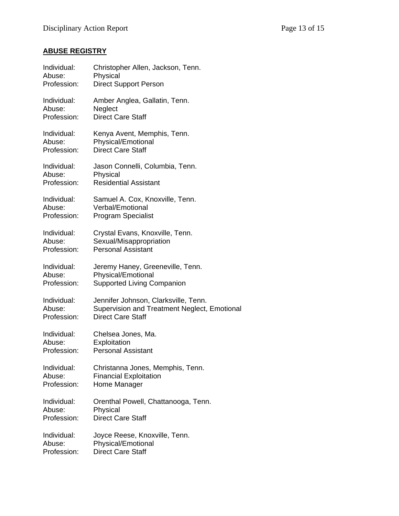## **ABUSE REGISTRY**

| Individual: | Christopher Allen, Jackson, Tenn.            |
|-------------|----------------------------------------------|
| Abuse:      | Physical                                     |
| Profession: | <b>Direct Support Person</b>                 |
| Individual: | Amber Anglea, Gallatin, Tenn.                |
| Abuse:      | Neglect                                      |
| Profession: | <b>Direct Care Staff</b>                     |
| Individual: | Kenya Avent, Memphis, Tenn.                  |
| Abuse:      | Physical/Emotional                           |
| Profession: | <b>Direct Care Staff</b>                     |
| Individual: | Jason Connelli, Columbia, Tenn.              |
| Abuse:      | Physical                                     |
| Profession: | <b>Residential Assistant</b>                 |
| Individual: | Samuel A. Cox, Knoxville, Tenn.              |
| Abuse:      | <b>Verbal/Emotional</b>                      |
| Profession: | <b>Program Specialist</b>                    |
| Individual: | Crystal Evans, Knoxville, Tenn.              |
| Abuse:      | Sexual/Misappropriation                      |
| Profession: | <b>Personal Assistant</b>                    |
| Individual: | Jeremy Haney, Greeneville, Tenn.             |
| Abuse:      | Physical/Emotional                           |
| Profession: | <b>Supported Living Companion</b>            |
| Individual: | Jennifer Johnson, Clarksville, Tenn.         |
| Abuse:      | Supervision and Treatment Neglect, Emotional |
| Profession: | <b>Direct Care Staff</b>                     |
| Individual: | Chelsea Jones, Ma.                           |
| Abuse:      | Exploitation                                 |
| Profession: | <b>Personal Assistant</b>                    |
| Individual: | Christanna Jones, Memphis, Tenn.             |
| Abuse:      | <b>Financial Exploitation</b>                |
| Profession: | Home Manager                                 |
| Individual: | Orenthal Powell, Chattanooga, Tenn.          |
| Abuse:      | Physical                                     |
| Profession: | <b>Direct Care Staff</b>                     |
| Individual: | Joyce Reese, Knoxville, Tenn.                |
| Abuse:      | <b>Physical/Emotional</b>                    |
| Profession: | <b>Direct Care Staff</b>                     |